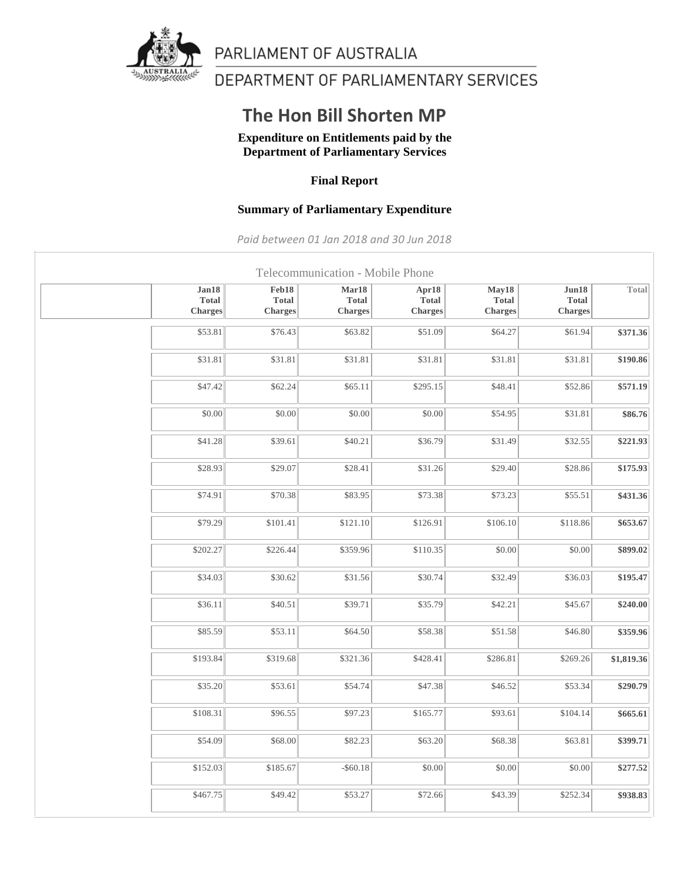

PARLIAMENT OF AUSTRALIA

DEPARTMENT OF PARLIAMENTARY SERVICES

## **The Hon Bill Shorten MP**

**Expenditure on Entitlements paid by the Department of Parliamentary Services**

## **Final Report**

## **Summary of Parliamentary Expenditure**

*Paid between 01 Jan 2018 and 30 Jun 2018*

| Jan18          | Feb18          | Telecommunication - Mobile Phone<br>Mar18 | Apr18          | May18          | Jun18          | Total      |
|----------------|----------------|-------------------------------------------|----------------|----------------|----------------|------------|
| <b>Total</b>   | <b>Total</b>   | <b>Total</b>                              | Total          | Total          | <b>Total</b>   |            |
| <b>Charges</b> | <b>Charges</b> | Charges                                   | <b>Charges</b> | <b>Charges</b> | <b>Charges</b> |            |
| \$53.81        | \$76.43        | \$63.82                                   | \$51.09        | \$64.27        | \$61.94        | \$371.36   |
| \$31.81        | \$31.81        | \$31.81                                   | \$31.81        | \$31.81        | \$31.81        | \$190.86   |
| \$47.42        | \$62.24        | \$65.11                                   | \$295.15       | \$48.41        | \$52.86        | \$571.19   |
| \$0.00         | \$0.00         | \$0.00                                    | \$0.00         | \$54.95        | \$31.81        | \$86.76    |
| \$41.28        | \$39.61        | \$40.21                                   | \$36.79        | \$31.49        | \$32.55        | \$221.93   |
| \$28.93        | \$29.07        | \$28.41                                   | \$31.26        | \$29.40        | \$28.86        | \$175.93   |
| \$74.91        | \$70.38        | \$83.95                                   | \$73.38        | \$73.23        | \$55.51        | \$431.36   |
| \$79.29        | \$101.41       | \$121.10                                  | \$126.91       | \$106.10       | \$118.86       | \$653.67   |
| \$202.27       | \$226.44       | \$359.96                                  | \$110.35       | \$0.00         | \$0.00         | \$899.02   |
| \$34.03        | \$30.62        | \$31.56                                   | \$30.74        | \$32.49        | \$36.03        | \$195.47   |
| \$36.11        | \$40.51        | \$39.71                                   | \$35.79        | \$42.21        | \$45.67        | \$240.00   |
| \$85.59        | \$53.11        | \$64.50                                   | 558.38         | \$51.58        | \$46.80        | \$359.96   |
| \$193.84       | \$319.68       | \$321.36                                  | \$428.41       | \$286.81       | \$269.26       | \$1,819.36 |
| \$35.20        | \$53.61        | \$54.74                                   | \$47.38        | \$46.52        | \$53.34        | \$290.79   |
| \$108.31       | \$96.55        | \$97.23                                   | \$165.77       | \$93.61        | \$104.14       | \$665.61   |
| \$54.09        | \$68.00        | \$82.23                                   | \$63.20        | \$68.38        | \$63.81        | \$399.71   |
| \$152.03       | \$185.67       | $-$ \$60.18                               | \$0.00         | \$0.00         | \$0.00         | \$277.52   |
| \$467.75       | \$49.42        | \$53.27                                   | \$72.66        | \$43.39        | \$252.34       | \$938.83   |